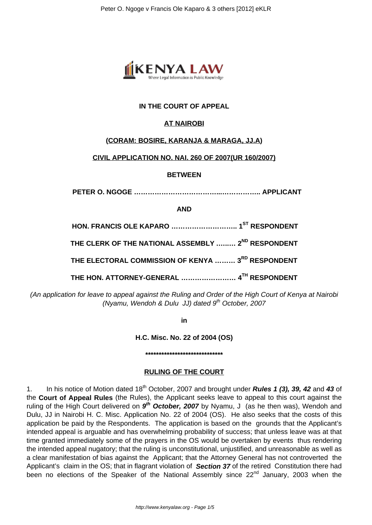

# **IN THE COURT OF APPEAL**

# **AT NAIROBI**

## **(CORAM: BOSIRE, KARANJA & MARAGA, JJ.A)**

## **CIVIL APPLICATION NO. NAI. 260 OF 2007(UR 160/2007)**

### **BETWEEN**

 **PETER O. NGOGE ………………………………...…………….. APPLICANT**

#### **AND**

**HON. FRANCIS OLE KAPARO ……………………….. 1ST RESPONDENT THE CLERK OF THE NATIONAL ASSEMBLY .…..… 2ND RESPONDENT THE ELECTORAL COMMISSION OF KENYA ……… 3RD RESPONDENT THE HON. ATTORNEY-GENERAL …………………… 4TH RESPONDENT**

(An application for leave to appeal against the Ruling and Order of the High Court of Kenya at Nairobi (Nyamu, Wendoh & Dulu JJ) dated  $9<sup>th</sup>$  October, 2007

**in**

**H.C. Misc. No. 22 of 2004 (OS)**

**\*\*\*\*\*\*\*\*\*\*\*\*\*\*\*\*\*\*\*\*\*\*\*\*\*\*\*\*\***

### **RULING OF THE COURT**

1. In his notice of Motion dated 18th October, 2007 and brought under **Rules 1 (3), 39, 42** and **43** of the **Court of Appeal Rules** (the Rules), the Applicant seeks leave to appeal to this court against the ruling of the High Court delivered on  $9<sup>th</sup>$  October, 2007 by Nyamu, J (as he then was), Wendoh and Dulu, JJ in Nairobi H. C. Misc. Application No. 22 of 2004 (OS). He also seeks that the costs of this application be paid by the Respondents. The application is based on the grounds that the Applicant's intended appeal is arguable and has overwhelming probability of success; that unless leave was at that time granted immediately some of the prayers in the OS would be overtaken by events thus rendering the intended appeal nugatory; that the ruling is unconstitutional, unjustified, and unreasonable as well as a clear manifestation of bias against the Applicant; that the Attorney General has not controverted the Applicant's claim in the OS; that in flagrant violation of **Section 37** of the retired Constitution there had been no elections of the Speaker of the National Assembly since 22<sup>nd</sup> January, 2003 when the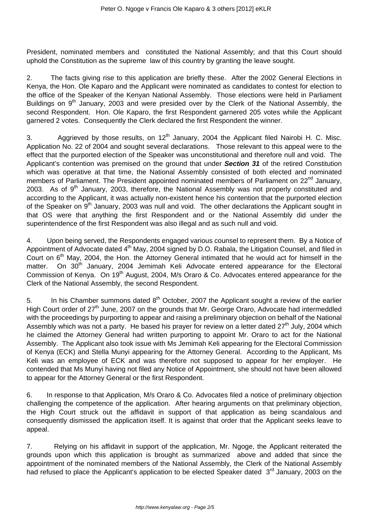President, nominated members and constituted the National Assembly; and that this Court should uphold the Constitution as the supreme law of this country by granting the leave sought.

2. The facts giving rise to this application are briefly these. After the 2002 General Elections in Kenya, the Hon. Ole Kaparo and the Applicant were nominated as candidates to contest for election to the office of the Speaker of the Kenyan National Assembly. Those elections were held in Parliament Buildings on 9<sup>th</sup> January, 2003 and were presided over by the Clerk of the National Assembly, the second Respondent. Hon. Ole Kaparo, the first Respondent garnered 205 votes while the Applicant garnered 2 votes. Consequently the Clerk declared the first Respondent the winner.

3. Aggrieved by those results, on  $12<sup>th</sup>$  January, 2004 the Applicant filed Nairobi H. C. Misc. Application No. 22 of 2004 and sought several declarations. Those relevant to this appeal were to the effect that the purported election of the Speaker was unconstitutional and therefore null and void. The Applicant's contention was premised on the ground that under **Section 31** of the retired Constitution which was operative at that time, the National Assembly consisted of both elected and nominated members of Parliament. The President appointed nominated members of Parliament on 22<sup>nd</sup> January, 2003. As of  $9<sup>th</sup>$  January, 2003, therefore, the National Assembly was not properly constituted and according to the Applicant, it was actually non-existent hence his contention that the purported election of the Speaker on  $9<sup>th</sup>$  January, 2003 was null and void. The other declarations the Applicant sought in that OS were that anything the first Respondent and or the National Assembly did under the superintendence of the first Respondent was also illegal and as such null and void.

4. Upon being served, the Respondents engaged various counsel to represent them. By a Notice of Appointment of Advocate dated 4<sup>th</sup> May, 2004 signed by D.O. Rabala, the Litigation Counsel, and filed in Court on 6<sup>th</sup> May, 2004, the Hon. the Attorney General intimated that he would act for himself in the matter. On 30<sup>th</sup> January, 2004 Jemimah Keli Advocate entered appearance for the Electoral Commission of Kenya. On 19<sup>th</sup> August, 2004, M/s Oraro & Co. Advocates entered appearance for the Clerk of the National Assembly, the second Respondent.

5. In his Chamber summons dated  $8<sup>th</sup>$  October, 2007 the Applicant sought a review of the earlier High Court order of 27<sup>th</sup> June, 2007 on the grounds that Mr. George Oraro, Advocate had intermeddled with the proceedings by purporting to appear and raising a preliminary objection on behalf of the National Assembly which was not a party. He based his prayer for review on a letter dated  $27<sup>th</sup>$  July, 2004 which he claimed the Attorney General had written purporting to appoint Mr. Oraro to act for the National Assembly. The Applicant also took issue with Ms Jemimah Keli appearing for the Electoral Commission of Kenya (ECK) and Stella Munyi appearing for the Attorney General. According to the Applicant, Ms Keli was an employee of ECK and was therefore not supposed to appear for her employer. He contended that Ms Munyi having not filed any Notice of Appointment, she should not have been allowed to appear for the Attorney General or the first Respondent.

6. In response to that Application, M/s Oraro & Co. Advocates filed a notice of preliminary objection challenging the competence of the application. After hearing arguments on that preliminary objection, the High Court struck out the affidavit in support of that application as being scandalous and consequently dismissed the application itself. It is against that order that the Applicant seeks leave to appeal.

7. Relying on his affidavit in support of the application, Mr. Ngoge, the Applicant reiterated the grounds upon which this application is brought as summarized above and added that since the appointment of the nominated members of the National Assembly, the Clerk of the National Assembly had refused to place the Applicant's application to be elected Speaker dated 3<sup>rd</sup> January, 2003 on the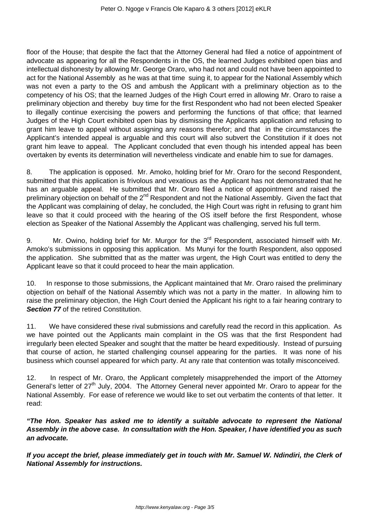floor of the House; that despite the fact that the Attorney General had filed a notice of appointment of advocate as appearing for all the Respondents in the OS, the learned Judges exhibited open bias and intellectual dishonesty by allowing Mr. George Oraro, who had not and could not have been appointed to act for the National Assembly as he was at that time suing it, to appear for the National Assembly which was not even a party to the OS and ambush the Applicant with a preliminary objection as to the competency of his OS; that the learned Judges of the High Court erred in allowing Mr. Oraro to raise a preliminary objection and thereby buy time for the first Respondent who had not been elected Speaker to illegally continue exercising the powers and performing the functions of that office; that learned Judges of the High Court exhibited open bias by dismissing the Applicants application and refusing to grant him leave to appeal without assigning any reasons therefor; and that in the circumstances the Applicant's intended appeal is arguable and this court will also subvert the Constitution if it does not grant him leave to appeal. The Applicant concluded that even though his intended appeal has been overtaken by events its determination will nevertheless vindicate and enable him to sue for damages.

8. The application is opposed. Mr. Amoko, holding brief for Mr. Oraro for the second Respondent, submitted that this application is frivolous and vexatious as the Applicant has not demonstrated that he has an arguable appeal. He submitted that Mr. Oraro filed a notice of appointment and raised the preliminary objection on behalf of the 2<sup>nd</sup> Respondent and not the National Assembly. Given the fact that the Applicant was complaining of delay, he concluded, the High Court was right in refusing to grant him leave so that it could proceed with the hearing of the OS itself before the first Respondent, whose election as Speaker of the National Assembly the Applicant was challenging, served his full term.

9. Mr. Owino, holding brief for Mr. Murgor for the 3<sup>rd</sup> Respondent, associated himself with Mr. Amoko's submissions in opposing this application. Ms Munyi for the fourth Respondent, also opposed the application. She submitted that as the matter was urgent, the High Court was entitled to deny the Applicant leave so that it could proceed to hear the main application.

10. In response to those submissions, the Applicant maintained that Mr. Oraro raised the preliminary objection on behalf of the National Assembly which was not a party in the matter. In allowing him to raise the preliminary objection, the High Court denied the Applicant his right to a fair hearing contrary to **Section 77** of the retired Constitution.

11. We have considered these rival submissions and carefully read the record in this application. As we have pointed out the Applicants main complaint in the OS was that the first Respondent had irregularly been elected Speaker and sought that the matter be heard expeditiously. Instead of pursuing that course of action, he started challenging counsel appearing for the parties. It was none of his business which counsel appeared for which party. At any rate that contention was totally misconceived.

12. In respect of Mr. Oraro, the Applicant completely misapprehended the import of the Attorney General's letter of 27<sup>th</sup> July, 2004. The Attorney General never appointed Mr. Oraro to appear for the National Assembly. For ease of reference we would like to set out verbatim the contents of that letter. It read:

**"The Hon. Speaker has asked me to identify a suitable advocate to represent the National Assembly in the above case. In consultation with the Hon. Speaker, I have identified you as such an advocate.**

**If you accept the brief, please immediately get in touch with Mr. Samuel W. Ndindiri, the Clerk of National Assembly for instructions.**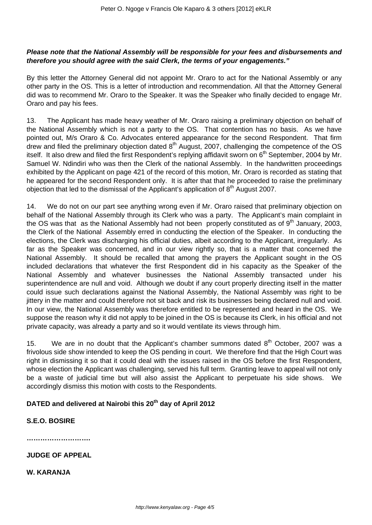## **Please note that the National Assembly will be responsible for your fees and disbursements and therefore you should agree with the said Clerk, the terms of your engagements."**

By this letter the Attorney General did not appoint Mr. Oraro to act for the National Assembly or any other party in the OS. This is a letter of introduction and recommendation. All that the Attorney General did was to recommend Mr. Oraro to the Speaker. It was the Speaker who finally decided to engage Mr. Oraro and pay his fees.

13. The Applicant has made heavy weather of Mr. Oraro raising a preliminary objection on behalf of the National Assembly which is not a party to the OS. That contention has no basis. As we have pointed out, M/s Oraro & Co. Advocates entered appearance for the second Respondent. That firm drew and filed the preliminary objection dated  $8<sup>th</sup>$  August, 2007, challenging the competence of the OS itself. It also drew and filed the first Respondent's replying affidavit sworn on 6<sup>th</sup> September, 2004 by Mr. Samuel W. Ndindiri who was then the Clerk of the national Assembly. In the handwritten proceedings exhibited by the Applicant on page 421 of the record of this motion, Mr. Oraro is recorded as stating that he appeared for the second Respondent only. It is after that that he proceeded to raise the preliminary objection that led to the dismissal of the Applicant's application of  $8<sup>th</sup>$  August 2007.

14. We do not on our part see anything wrong even if Mr. Oraro raised that preliminary objection on behalf of the National Assembly through its Clerk who was a party. The Applicant's main complaint in the OS was that as the National Assembly had not been properly constituted as of  $9<sup>th</sup>$  January, 2003, the Clerk of the National Assembly erred in conducting the election of the Speaker. In conducting the elections, the Clerk was discharging his official duties, albeit according to the Applicant, irregularly. As far as the Speaker was concerned, and in our view rightly so, that is a matter that concerned the National Assembly. It should be recalled that among the prayers the Applicant sought in the OS included declarations that whatever the first Respondent did in his capacity as the Speaker of the National Assembly and whatever businesses the National Assembly transacted under his superintendence are null and void. Although we doubt if any court properly directing itself in the matter could issue such declarations against the National Assembly, the National Assembly was right to be jittery in the matter and could therefore not sit back and risk its businesses being declared null and void. In our view, the National Assembly was therefore entitled to be represented and heard in the OS. We suppose the reason why it did not apply to be joined in the OS is because its Clerk, in his official and not private capacity, was already a party and so it would ventilate its views through him.

15. We are in no doubt that the Applicant's chamber summons dated  $8<sup>th</sup>$  October, 2007 was a frivolous side show intended to keep the OS pending in court. We therefore find that the High Court was right in dismissing it so that it could deal with the issues raised in the OS before the first Respondent, whose election the Applicant was challenging, served his full term. Granting leave to appeal will not only be a waste of judicial time but will also assist the Applicant to perpetuate his side shows. We accordingly dismiss this motion with costs to the Respondents.

# **DATED and delivered at Nairobi this 20th day of April 2012**

### **S.E.O. BOSIRE**

**……………………….**

**JUDGE OF APPEAL**

**W. KARANJA**